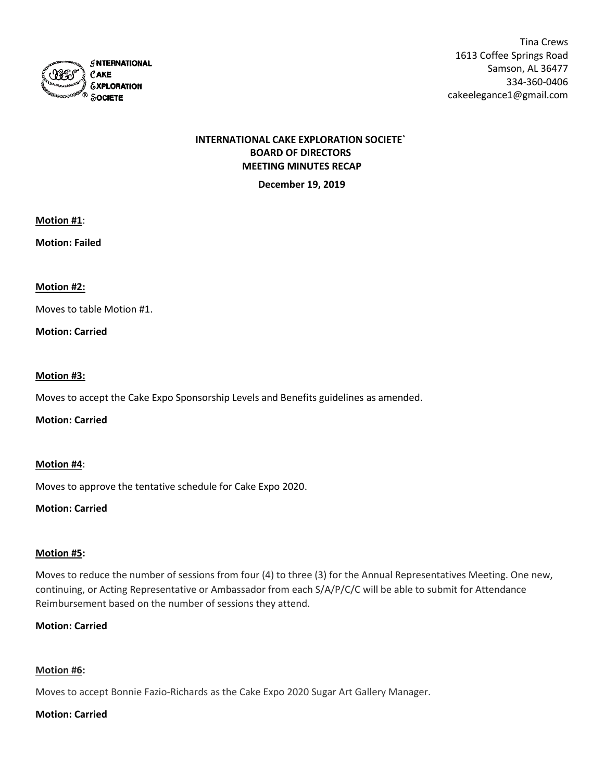

Tina Crews 1613 Coffee Springs Road Samson, AL 36477 334-360-0406 cakeelegance1@gmail.com

# **INTERNATIONAL CAKE EXPLORATION SOCIETE` BOARD OF DIRECTORS MEETING MINUTES RECAP**

**December 19, 2019**

**Motion #1**:

**Motion: Failed**

### **Motion #2:**

Moves to table Motion #1.

# **Motion: Carried**

### **Motion #3:**

Moves to accept the Cake Expo Sponsorship Levels and Benefits guidelines as amended.

**Motion: Carried**

### **Motion #4**:

Moves to approve the tentative schedule for Cake Expo 2020.

### **Motion: Carried**

### **Motion #5:**

Moves to reduce the number of sessions from four (4) to three (3) for the Annual Representatives Meeting. One new, continuing, or Acting Representative or Ambassador from each S/A/P/C/C will be able to submit for Attendance Reimbursement based on the number of sessions they attend.

# **Motion: Carried**

# **Motion #6:**

Moves to accept Bonnie Fazio-Richards as the Cake Expo 2020 Sugar Art Gallery Manager.

### **Motion: Carried**